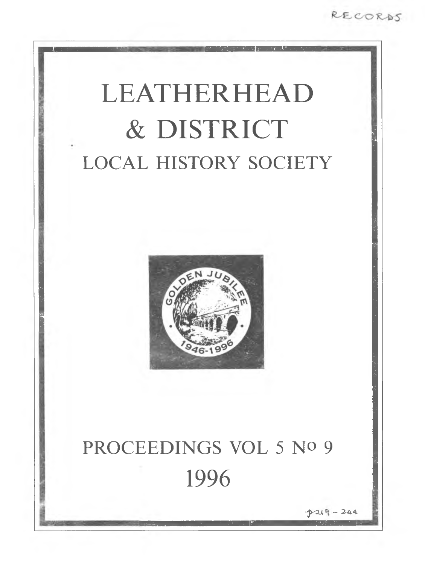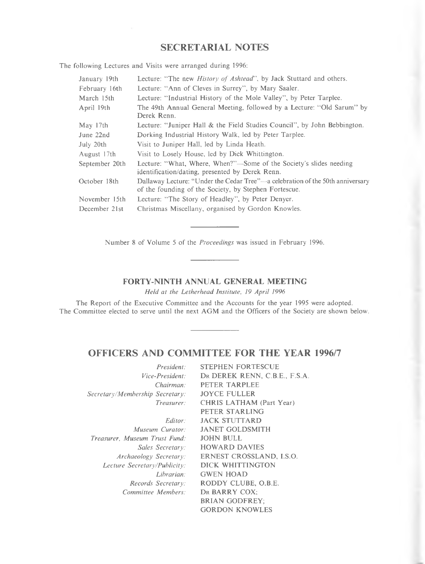# **SECRETARIAL NOTES**

**T he follow in g Lectures and V isits were arranged during 1996:**

| Lecture: "The new <i>History of Ashtead</i> ", by Jack Stuttard and others.<br>January 19th                                                             |  |
|---------------------------------------------------------------------------------------------------------------------------------------------------------|--|
| Lecture: "Ann of Cleves in Surrey", by Mary Saaler.<br>February 16th                                                                                    |  |
| Lecture: "Industrial History of the Mole Valley", by Peter Tarplee.<br>March 15th                                                                       |  |
| The 49th Annual General Meeting, followed by a Lecture: "Old Sarum" by<br>April 19th<br>Derek Renn.                                                     |  |
| Lecture: "Juniper Hall & the Field Studies Council", by John Bebbington.<br>May 17th                                                                    |  |
| Dorking Industrial History Walk, led by Peter Tarplee.<br>June 22nd                                                                                     |  |
| Visit to Juniper Hall, led by Linda Heath.<br>July 20th                                                                                                 |  |
| Visit to Losely House, led by Dick Whittington.<br>August 17th                                                                                          |  |
| Lecture: "What, Where, When?"—Some of the Society's slides needing<br>September 20th<br>identification/dating, presented by Derek Renn.                 |  |
| Dallaway Lecture: "Under the Cedar Tree"—a celebration of the 50th anniversary<br>October 18th<br>of the founding of the Society, by Stephen Fortescue. |  |
| Lecture: "The Story of Headley", by Peter Denyer.<br>November 15th                                                                                      |  |
| Christmas Miscellany, organised by Gordon Knowles.<br>December 21st                                                                                     |  |

Number 8 of Volume 5 of the *Proceedings* was issued in February 1996.

# **FORTY-NINTH ANNUAL GENERAL MEETING**

*Held at the Letherhead Institute, 19 April 1996* 

The Report of the Executive Committee and the Accounts for the year 1995 were adopted. The Committee elected to serve until the next AGM and the Officers of the Society are shown below.

# **OFFICERS AND COMMITTEE FOR THE YEAR 1996/7**

| President:                      | <b>STEPHEN FORTESCUE</b>      |
|---------------------------------|-------------------------------|
| Vice-President:                 | DR DEREK RENN, C.B.E., F.S.A. |
| Chairman:                       | PETER TARPLEE                 |
| Secretary/Membership Secretary: | <b>JOYCE FULLER</b>           |
| Treasurer:                      | CHRIS LATHAM (Part Year)      |
|                                 | PETER STARLING                |
| Editor:                         | <b>JACK STUTTARD</b>          |
| Museum Curator:                 | <b>JANET GOLDSMITH</b>        |
| Treasurer, Museum Trust Fund:   | JOHN BULL                     |
| Sales Secretary:                | <b>HOWARD DAVIES</b>          |
| Archaeology Secretary:          | ERNEST CROSSLAND, I.S.O.      |
| Lecture Secretary/Publicity:    | DICK WHITTINGTON              |
| Librarian:                      | <b>GWEN HOAD</b>              |
| Records Secretary:              | RODDY CLUBE, O.B.E.           |
| Committee Members:              | DR BARRY COX:                 |
|                                 | <b>BRIAN GODFREY:</b>         |
|                                 | <b>GORDON KNOWLES</b>         |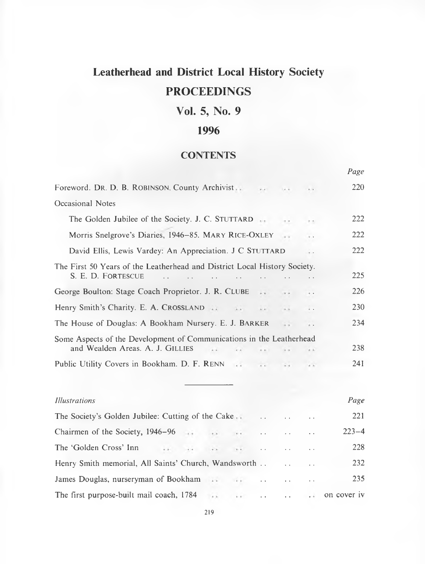# **Leatherhead and District Local History Society PROCEEDINGS**

# **Vol. 5, No. 9**

# **1996**

# **CONTENTS**

|                                                                                                          |                      |                      |                      | Page        |
|----------------------------------------------------------------------------------------------------------|----------------------|----------------------|----------------------|-------------|
| Foreword. Dr. D. B. ROBINSON. County Archivist                                                           |                      |                      |                      | 220         |
| Occasional Notes                                                                                         |                      |                      |                      |             |
| The Golden Jubilee of the Society. J. C. STUTTARD                                                        |                      |                      |                      | 222         |
| Morris Snelgrove's Diaries, 1946-85. MARY RICE-OXLEY                                                     |                      |                      |                      | 222         |
| David Ellis, Lewis Vardey: An Appreciation. J C STUTTARD                                                 |                      | 222                  |                      |             |
| The First 50 Years of the Leatherhead and District Local History Society.<br>S. E. D. FORTESCUE          |                      |                      |                      | 225         |
| George Boulton: Stage Coach Proprietor. J. R. CLUBE                                                      |                      |                      | $+ -$                | 226         |
| Henry Smith's Charity. E. A. CROSSLAND                                                                   |                      |                      |                      | 230         |
| The House of Douglas: A Bookham Nursery. E. J. BARKER                                                    |                      |                      |                      | 234         |
| Some Aspects of the Development of Communications in the Leatherhead<br>and Wealden Areas. A. J. GILLIES |                      |                      |                      | 238         |
| Public Utility Covers in Bookham. D. F. RENN                                                             | $\mathbf{r}$         |                      |                      | 241         |
|                                                                                                          |                      |                      |                      |             |
| <b>Illustrations</b>                                                                                     |                      |                      |                      | Page        |
| The Society's Golden Jubilee: Cutting of the Cake                                                        |                      |                      |                      | 221         |
| Chairmen of the Society, 1946–96<br>$\sim$                                                               | . .                  |                      |                      | $223 - 4$   |
| The 'Golden Cross' Inn                                                                                   |                      |                      |                      | 228         |
| Henry Smith memorial, All Saints' Church, Wandsworth                                                     |                      |                      |                      | 232         |
| James Douglas, nurseryman of Bookham<br>$\cdots$                                                         | $\ddotsc$            | $\ddot{\phantom{a}}$ | $\ddot{\phantom{1}}$ | 235         |
| The first purpose-built mail coach, 1784<br>$\frac{1}{2}$<br>$\frac{1}{2}$                               | $\ddot{\phantom{0}}$ |                      |                      | on cover iv |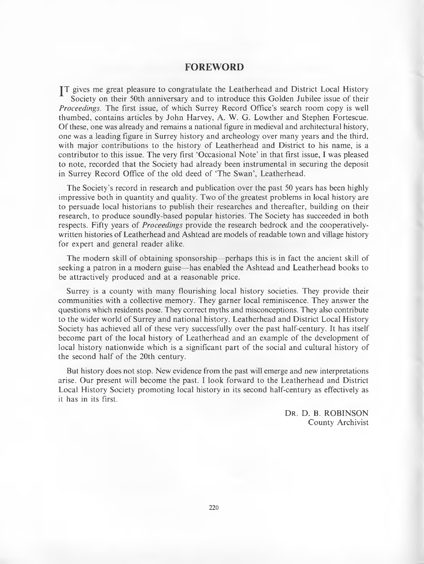# **FOREWORD**

TT gives me great pleasure to congratulate the Leatherhead and District Local History Society on their 50th anniversary and to introduce this Golden Jubilee issue of their *Proceedings.* The first issue, of which Surrey Record Office's search room copy is well thum bed, contains articles by John Harvey, A. W. G. Lowther and Stephen Fortescue. O f these, one was already and remains a national figure in medieval and architectural history, one was a leading figure in Surrey history and archeology over many years and the third, with major contributions to the history of Leatherhead and District to his name, is a contributor to this issue. The very first 'Occasional Note' in that first issue, I was pleased to note, recorded that the Society had already been instrumental in securing the deposit in Surrey Record Office of the old deed of 'The Swan', Leatherhead.

The Society's record in research and publication over the past 50 years has been highly impressive both in quantity and quality. Two of the greatest problems in local history are to persuade local historians to publish their researches and thereafter, building on their research, to produce soundly-based popular histories. The Society has succeeded in both respects. Fifty years of *Proceedings* provide the research bedrock and the cooperativelywritten histories of Leatherhead and Ashtead are models of readable town and village history for expert and general reader alike.

The modern skill of obtaining sponsorship—perhaps this is in fact the ancient skill of seeking a patron in a m odern guise— has enabled the A shtead and Leatherhead books to be attractively produced and at a reasonable price.

Surrey is a county with many flourishing local history societies. They provide their communities with a collective memory. They garner local reminiscence. They answer the questions which residents pose. They correct myths and misconceptions. They also contribute to the wider world of Surrey and national history. Leatherhead and District Local History Society has achieved all of these very successfully over the past half-century. It has itself become part of the local history of Leatherhead and an example of the development of local history nationwide which is a significant part of the social and cultural history of the second half of the 20th century.

But history does not stop. New evidence from the past will emerge and new interpretations arise. Our present will become the past. I look forward to the Leatherhead and District Local History Society promoting local history in its second half-century as effectively as it has in its first.

> DR. D. B. ROBINSON County Archivist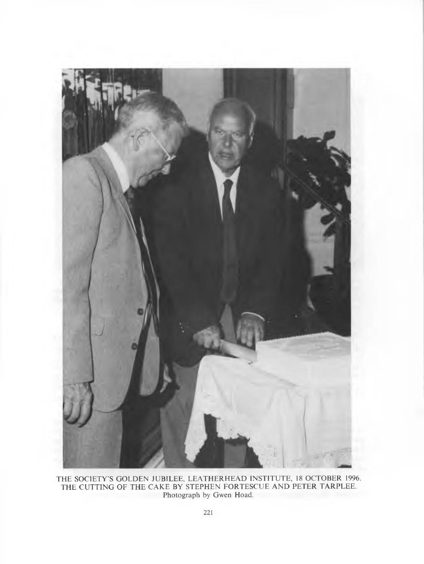

**T H E S O C IE T Y 'S G O L D E N J U B IL E E , L E A T H E R H E A D IN S T IT U T E , 18 O C T O B E R 1996.** THE CUTTING OF THE CAKE BY STEPHEN FORTESCUE AND PETER TARPLEE Photograph by Gwen Hoad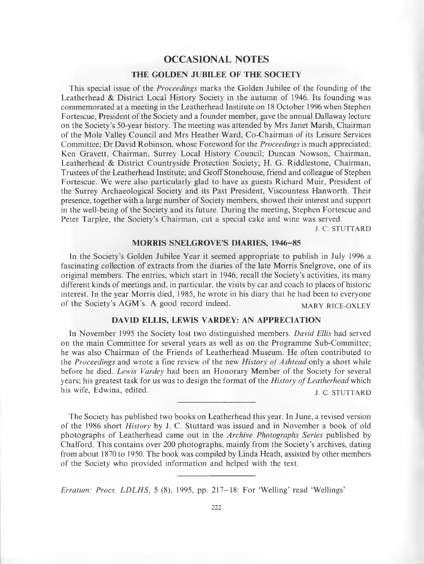# **OCCASIONAL NOTES**

## **THE GOLDEN JUBILEE OF THE SOCIETY**

This special issue of the *Proceedings* marks the Golden Jubilee of the founding of the Leatherhead  $\&$  District Local History Society in the autumn of 1946. Its founding was commemorated at a meeting in the Leatherhead Institute on 18 October 1996 when Stephen Fortescue, President of the Society and a founder member, gave the annual Dallaway lecture on the Society's 50-year history. The meeting was attended by Mrs Janet Marsh, Chairman of the Mole Valley Council and Mrs Heather Ward, Co-Chairman of its Leisure Services Committee; Dr David Robinson, whose Foreword for the *Proceedings* is much appreciated; Ken Gravett, Chairman, Surrey Local History Council; Duncan Nowson, Chairman, Leatherhead & District Countryside Protection Society; H. G. Riddlestone, Chairman, Trustees of the Leatherhead Institute; and Geoff Stonehouse, friend and colleague of Stephen Fortescue. We were also particularly glad to have as guests Richard Muir, President of the Surrey Archaeological Society and its Past President, Viscountess Hanworth. Their presence, together with a large number of Society members, showed their interest and support in the well-being of the Society and its future. During the meeting, Stephen Fortescue and Peter Tarplee, the Society's Chairman, cut a special cake and wine was served.

**J. C. STUTTARD** 

#### **MORRIS SNELGROVE'S DIARIES, 1946-85**

In the Society's Golden Jubilee Year it seemed appropriate to publish in July 1996 a fascinating collection of extracts from the diaries of the late Morris Snelgrove, one of its original members. The entries, which start in 1946, recall the Society's activities, its many different kinds of meetings and, in particular, the visits by car and coach to places of historic interest. In the year Morris died, 1985, he wrote in his diary that he had been to everyone of the Society's AGM's. A good record indeed. MARY RICE-OXLEY

## **DAVID ELLIS, LEWIS VARDEY: AN APPRECIATION**

In November 1995 the Society lost two distinguished members. *David Ellis* had served on the main Committee for several years as well as on the Programme Sub-Committee; he was also Chairman of the Friends of Leatherhead Museum. He often contributed to the *Proceedings* and wrote a fine review of the new *History of Ashtead* only a short while before he died. *Lewis Vardey* had been an Honorary Member of the Society for several years; his greatest task for us was to design the format of the *History of Leatherhead* which his wife, Edwina, edited. **j C** STUTTARD

The Society has published two books on Leatherhead this year. In June, a revised version of the 1986 short *History* by J. C. Stuttard was issued and in November a book of old photographs of Leatherhead came out in the *Archive Photographs Series* published by Chalford. This contains over 200 photographs, mainly from the Society's archives, dating from about 1870 to 1950. The book was compiled by Linda Heath, assisted by other members of the Society who provided information and helped with the text.

*Erratum: Procs. LDLHS*, 5 (8), 1995, pp. 217–18: For 'Welling' read 'Wellings'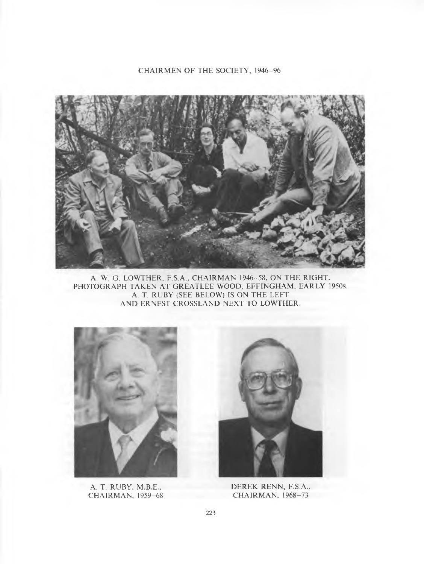CHAIRMEN OF THE SOCIETY, 1946-96

![](_page_6_Picture_1.jpeg)

A. W. G. LOWTHER, F.S.A., CHAIRMAN 1946-58, ON THE RIGHT. PHOTOGRAPH TAKEN AT GREATLEE WOOD, EFFINGHAM, EARLY 1950s. A. T. RUBY (SEE BELOW) IS ON THE LEFT AND ERNEST CROSSLAND NEXT TO LOWTHER.

![](_page_6_Picture_3.jpeg)

A. T. RUBY, M.B.E., **CHAIRMAN, 1959-68** 

![](_page_6_Picture_5.jpeg)

**DEREK RENN, F.S.A., CHAIRMAN, 1968-73**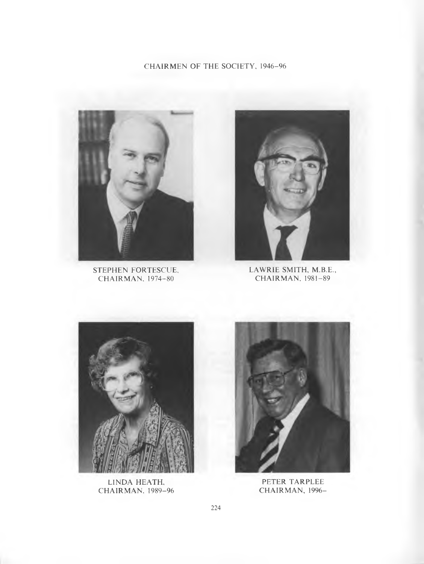# CHAIRMEN OF THE SOCIETY, 1946-96

![](_page_7_Picture_1.jpeg)

**CHAIRMAN, 1974-80** 

![](_page_7_Picture_3.jpeg)

**STEPHEN FORTESCUE, LAWRIE SMITH, M.B.E., CHAIRMAN, 1974–80** CHAIRMAN, 1981–89

![](_page_7_Picture_5.jpeg)

**LINDA HEATH, CHAIRMAN, 1989-96** 

![](_page_7_Picture_7.jpeg)

**PETER TARPLEE** CHAIRMAN, 1996-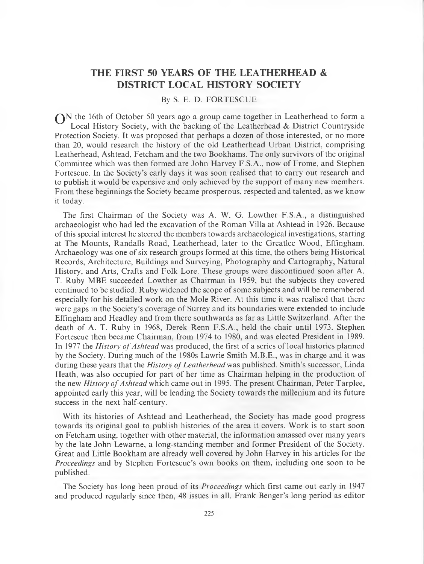# **THE FIRST 50 YEARS OF THE LEATHERHEAD & DISTRICT LOCAL HISTORY SOCIETY**

#### By S. E. D. FORTESCUE

 $\bigcap N$  the 16th of October 50 years ago a group came together in Leatherhead to form a Local History Society, with the backing of the Leatherhead  $\&$  District Countryside Protection Society. It was proposed that perhaps a dozen of those interested, or no more than 20, would research the history of the old Leatherhead Urban District, comprising Leatherhead, Ashtead, Fetcham and the two Bookhams. The only survivors of the original Committee which was then formed are John Harvey F.S.A., now of Frome, and Stephen Fortescue. In the Society's early days it was soon realised that to carry out research and to publish it would be expensive and only achieved by the support of many new members. From these beginnings the Society became prosperous, respected and talented, as we know it today.

The first Chairman of the Society was A. W. G. Lowther F.S.A., a distinguished archaeologist who had led the excavation of the Roman Villa at Ashtead in 1926. Because of this special interest he steered the members towards archaeological investigations, starting at The Mounts, Randalls Road, Leatherhead, later to the Greatlee Wood, Effingham. Archaeology was one of six research groups formed at this time, the others being Historical Records, Architecture, Buildings and Surveying, Photography and Cartography, Natural History, and Arts, Crafts and Folk Lore. These groups were discontinued soon after A. T. Ruby MBE succeeded Lowther as Chairman in 1959, but the subjects they covered continued to be studied. Ruby widened the scope of some subjects and will be remembered especially for his detailed work on the Mole River. At this time it was realised that there were gaps in the Society's coverage of Surrey and its boundaries were extended to include Effingham and Headley and from there southwards as far as Little Switzerland. After the death of A. T. Ruby in 1968, Derek Renn F.S.A., held the chair until 1973. Stephen Fortescue then became Chairman, from 1974 to 1980, and was elected President in 1989. In 1977 the *History of Ashtead* was produced, the first of a series of local histories planned by the Society. During much of the 1980s Lawrie Smith M .B.E., was in charge and it was during these years that the *History of Leatherhead* was published. Smith's successor, Linda Heath, was also occupied for part of her time as Chairman helping in the production of the new *History of Ashtead* which came out in 1995. The present Chairman, Peter Tarplee, appointed early this year, will be leading the Society towards the millenium and its future success in the next half-century.

With its histories of Ashtead and Leatherhead, the Society has made good progress towards its original goal to publish histories of the area it covers. Work is to start soon on Fetcham using, together with other material, the information amassed over many years by the late John Lewarne, a long-standing member and former President of the Society. Great and Little Bookham are already well covered by John Harvey in his articles for the *Proceedings* and by Stephen Fortescue's own books on them, including one soon to be published.

The Society has long been proud of its *Proceedings* which first came out early in 1947 and produced regularly since then, 48 issues in all. Frank Benger's long period as editor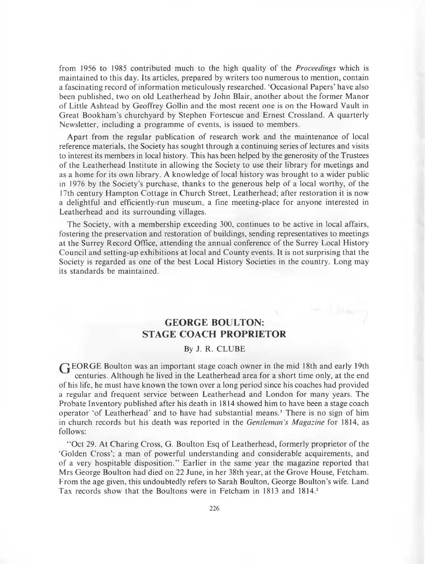from 1956 to 1985 contributed much to the high quality of the *Proceedings* which is maintained to this day. Its articles, prepared by writers too numerous to mention, contain a fascinating record of inform ation meticulously researched. 'Occasional Papers' have also been published, two on old Leatherhead by John Blair, another about the former Manor of Little Ashtead by Geoffrey Gollin and the most recent one is on the Howard Vault in Great Bookham's churchyard by Stephen Fortescue and Ernest Crossland. A quarterly Newsletter, including a programme of events, is issued to members.

Apart from the regular publication of research work and the maintenance of local reference materials, the Society has sought through a continuing series of lectures and visits to interest its members in local history. This has been helped by the generosity of the Trustees of the Leatherhead Institute in allowing the Society to use their library for meetings and as a home for its own library. A knowledge of local history was brought to a wider public in 1976 by the Society's purchase, thanks to the generous help of a local worthy, of the 17th century Hampton Cottage in Church Street, Leatherhead; after restoration it is now a delightful and efficiently-run museum, a fine meeting-place for anyone interested in Leatherhead and its surrounding villages.

The Society, with a membership exceeding 300, continues to be active in local affairs, fostering the preservation and restoration of buildings, sending representatives to meetings at the Surrey Record Office, attending the annual conference of the Surrey Local History Council and setting-up exhibitions at local and C ounty events. It is not surprising that the Society is regarded as one of the best Local History Societies in the country. Long may its standards be maintained.

# **GEORGE BOULTON: STAGE COACH PROPRIETOR**

# By J. R. CLUBE

GEORGE Boulton was an important stage coach owner in the mid 18th and early 19th centuries. Although he lived in the Leatherhead area for a short time only, at the end of his life, he must have known the town over a long period since his coaches had provided a regular and frequent service between Leatherhead and London for many years. The Probate Inventory published after his death in 1814 showed him to have been a stage coach operator 'of Leatherhead' and to have had substantial means.' There is no sign of him in church records but his death was reported in the *Gentleman's Magazine* for 1814, as follows:

"Oct 29. At Charing Cross, G. Boulton Esq of Leatherhead, formerly proprietor of the 'Golden Cross'; a man of powerful understanding and considerable acquirements, and o f a very hospitable disposition." Earlier in the same year the magazine reported that Mrs George Boulton had died on 22 June, in her 38th year, at the Grove House, Fetcham. From the age given, this undoubtedly refers to Sarah Boulton, George Boulton's wife. Land Tax records show that the Boultons were in Fetcham in 1813 and 1814.<sup>2</sup>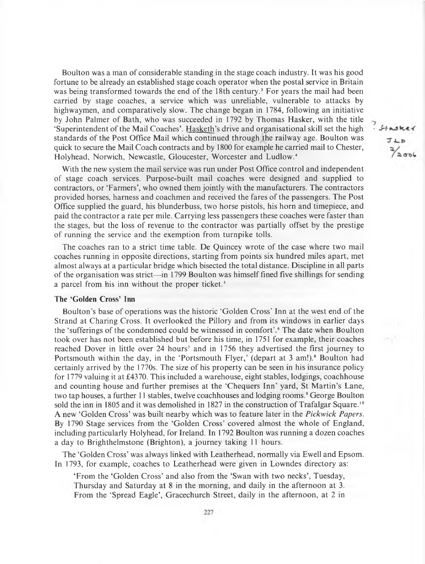Boulton was a man of considerable standing in the stage coach industry. It was his good fortune to be already an established stage coach operator when the postal service in Britain was being transformed towards the end of the 18th century.<sup>3</sup> For years the mail had been carried by stage coaches, a service which was unreliable, vulnerable to attacks by highwaymen, and comparatively slow. The change began in 1784, following an initiative by John Palmer of Bath, who was succeeded in 1792 by Thomas Hasker, with the title 'Superintendent of the Mail Coaches'. Hasketh's drive and organisational skill set the high standards of the Post Office Mail which continued through the railway age. Boulton was quick to secure the Mail Coach contracts and by 1800 for example he carried mail to Chester, Holyhead, Norwich, Newcastle, Gloucester, Worcester and Ludlow.<sup>4</sup>

With the new system the mail service was run under Post Office control and independent of stage coach services. Purpose-built mail coaches were designed and supplied to contractors, or 'Farmers', who owned them jointly with the manufacturers. The contractors provided horses, harness and coachmen and received the fares of the passengers. The Post Office supplied the guard, his blunderbuss, two horse pistols, his horn and timepiece, and paid the contractor a rate per mile. Carrying less passengers these coaches were faster than the stages, but the loss of revenue to the contractor was partially offset by the prestige of running the service and the exemption from turnpike tolls.

The coaches ran to a strict time table. De Quincey wrote of the case where two mail coaches running in opposite directions, starting from points six hundred miles apart, met almost always at a particular bridge which bisected the total distance. Discipline in all parts of the organisation was strict—in 1799 Boulton was himself fined five shillings for sending a parcel from his inn without the proper ticket.<sup>5</sup>

#### **The 'Golden Cross' Inn**

Boulton's base of operations was the historic 'Golden Cross' Inn at the west end of the Strand at Charing Cross. It overlooked the Pillory and from its windows in earlier days the 'sufferings of the condemned could be witnessed in comfort'.<sup>6</sup> The date when Boulton took over has not been established but before his time, in 1751 for example, their coaches reached Dover in little over 24 hours<sup>7</sup> and in 1756 they advertised the first journey to Portsmouth within the day, in the 'Portsmouth Flyer,' (depart at 3 am!).<sup>8</sup> Boulton had certainly arrived by the 1770s. The size of his property can be seen in his insurance policy for 1779 valuing it at £4370. This included a warehouse, eight stables, lodgings, coachhouse and counting house and further premises at the 'Chequers Inn' yard, St Martin's Lane, two tap houses, a further 11 stables, twelve coachhouses and lodging room s.' George Boulton sold the inn in 1805 and it was demolished in 1827 in the construction of Trafalgar Square.<sup>10</sup> A new 'G olden C ross' was built nearby which was to feature later in the *Pickwick Papers.* By 1790 Stage services from the 'Golden Cross' covered almost the whole of England, including particularly Holyhead, for Ireland. In 1792 Boulton was running a dozen coaches a day to Brighthelmstone (Brighton), a journey taking 11 hours.

The 'Golden Cross' was always linked with Leatherhead, normally via Ewell and Epsom. In 1793, for example, coaches to Leatherhead were given in Lowndes directory as:

'From the 'Golden Cross' and also from the 'Swan with two necks', Tuesday, Thursday and Saturday at 8 in the morning, and daily in the afternoon at 3. From the 'Spread Eagle', Gracechurch Street, daily in the afternoon, at 2 in  $.$  Stask JLD  $\frac{2}{2}$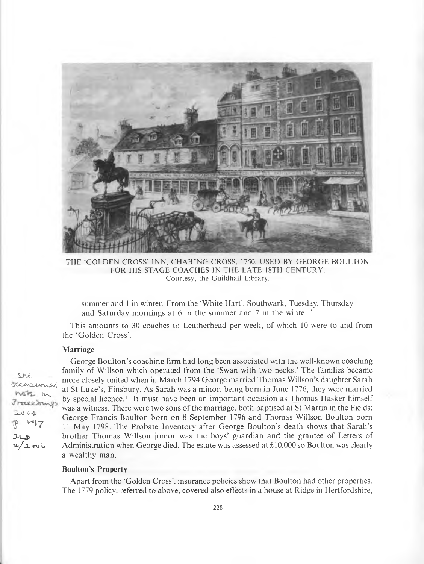![](_page_11_Picture_0.jpeg)

THE 'GOLDEN CROSS' INN, CHARING CROSS, 1750, USED BY GEORGE BOULTON FOR HIS STAGE COACHES IN THE LATE 18TH CENTURY. Courtesy, the Guildhall Library.

summer and 1 in winter. From the 'White Hart', Southwark, Tuesday, Thursday and Saturday mornings at 6 in the summer and 7 in the winter.'

This amounts to 30 coaches to Leatherhead per week, of which 10 were to and from the 'Golden Cross'.

#### **Marriage**

*5JU.* dccasion  $n$  $5k$   $n$ Proceesu  $2004$  $47$  $J\cup D$  $2 / 2$  ro b

George Boulton's coaching firm had long been associated with the well-known coaching family of Willson which operated from the 'Swan with two necks.' The families became more closely united when in March 1794 George married Thomas Willson's daughter Sarah at St Luke's, Finsbury. As Sarah was a minor, being born in June 1776, they were married by special licence.<sup>11</sup> It must have been an important occasion as Thomas Hasker himself was a witness. There were two sons of the marriage, both baptised at St Martin in the Fields: George Francis Boulton born on 8 September 1796 and Thomas Willson Boulton born 11 May 1798. The Probate Inventory after George Boulton's death shows that Sarah's brother Thomas Willson junior was the boys' guardian and the grantee of Letters of Administration when George died. The estate was assessed at  $\pounds10,000$  so Boulton was clearly a wealthy man.

## **Boulton's Property**

A part from the 'Golden Cross', insurance policies show that Boulton had other properties. The 1779 policy, referred to above, covered also effects in a house at Ridge in Hertfordshire,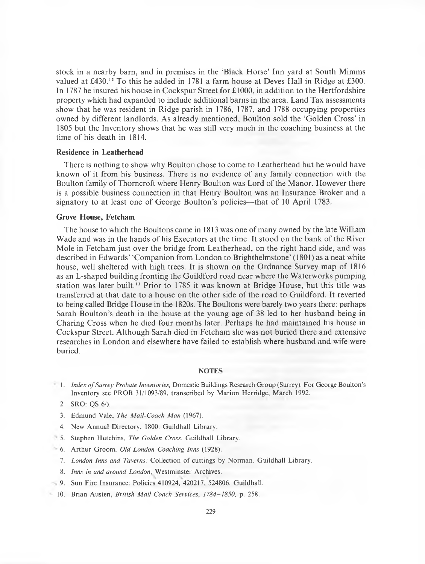stock in a nearby barn, and in premises in the 'Black Horse' Inn yard at South Mimms valued at £430.<sup>12</sup> To this he added in 1781 a farm house at Deves Hall in Ridge at £300. In 1787 he insured his house in Cockspur Street for  $\pounds$ 1000, in addition to the Hertfordshire property which had expanded to include additional barns in the area. Land Tax assessments show that he was resident in Ridge parish in 1786, 1787, and 1788 occupying properties owned by different landlords. As already mentioned, Boulton sold the 'Golden Cross' in 1805 but the Inventory shows that he was still very much in the coaching business at the time of his death in 1814.

## **Residence in Leatherhead**

There is nothing to show why Boulton chose to come to Leatherhead but he would have known of it from his business. There is no evidence of any family connection with the Boulton family of Thorncroft where Henry Boulton was Lord of the Manor. However there is a possible business connection in that Henry Boulton was an Insurance Broker and a signatory to at least one of George Boulton's policies—that of 10 April 1783.

#### **Grove House, Fetcham**

The house to which the Boultons came in 1813 was one of many owned by the late William Wade and was in the hands of his Executors at the time. It stood on the bank of the River Mole in Fetcham just over the bridge from Leatherhead, on the right hand side, and was described in Edwards' 'Companion from London to Brighthelmstone' (1801) as a neat white house, well sheltered with high trees. It is shown on the Ordnance Survey map of 1816 as an L-shaped building fronting the Guildford road near where the Waterworks pumping station was later built.13 Prior to 1785 it was known at Bridge House, but this title was transferred at that date to a house on the other side of the road to Guildford. It reverted to being called Bridge House in the 1820s. The Boultons were barely two years there: perhaps Sarah Boulton's death in the house at the young age of 38 led to her husband being in Charing Cross when he died four months later. Perhaps he had maintained his house in C ockspur Street. A lthough Sarah died in Fetcham she was not buried there and extensive researches in London and elsewhere have failed to establish where husband and wife were buried.

#### **NOTES**

- <sup>2</sup> 1. *Index of Surrey Probate Inventories*, Domestic Buildings Research Group (Surrey). For George Boulton's Inventory see PROB 31/1093/89, transcribed by Marion Herridge, March 1992.
	- **2. SRO: QS 6/).**
	- 3. Edmund Vale, *The Mail-Coach Man* (1967).
	- 4. New Annual Directory, 1800. Guildhall Library.
- **5. Stephen Hutchins,** *The Golden Cross***. Guildhall Library.**
- 6. Arthur Groom, *Old London Coaching Inns* (1928).
	- 7. *London Inns and Taverns:* Collection of cuttings by Norman. Guildhall Library.
	- 8. *Inns in and around London*, Westminster Archives.
- **9. Sun Fire Insurance: Policies 410924, 420217, 524806. Guildhall.**
- 10. Brian Austen, *British Mail Coach Services, 1784–1850,* p. 258.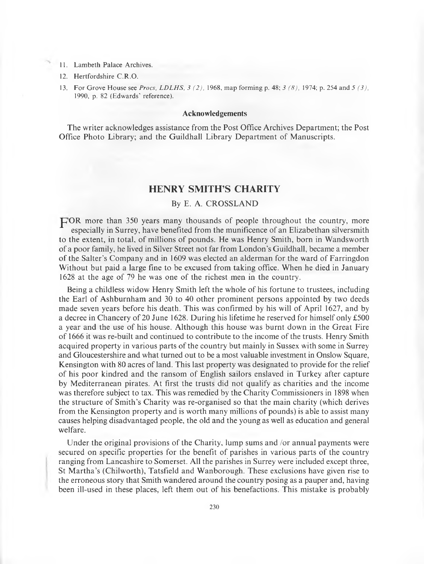- 11. Lambeth Palace Archives.
- 12. **Hertfordshire C.R.O.**
- **13.** For Grove House see *Procs, LDLHS, 3 (2),* 1968, map forming p. 48; 3 (8), 1974; p. 254 and 5 (3), 1990, p. 82 (Edwards' reference).

#### **Acknowledgements**

The writer acknowledges assistance from the Post Office Archives Department; the Post Office Photo Library; and the Guildhall Library Department of Manuscripts.

# **HENRY SMITH'S CHARITY**

## By E. A. CROSSLAND

 $\Box$  OR more than 350 years many thousands of people throughout the country, more especially in Surrey, have benefited from the munificence of an Elizabethan silversmith to the extent, in total, of millions of pounds. He was Henry Smith, born in Wandsworth of a poor family, he lived in Silver Street not far from London's Guildhall, became a member of the Salter's Company and in 1609 was elected an alderman for the ward of Farringdon Without but paid a large fine to be excused from taking office. When he died in January 1628 at the age of 79 he was one of the richest men in the country.

Being a childless widow Henry Smith left the whole of his fortune to trustees, including the Earl of Ashburnham and 30 to 40 other prominent persons appointed by two deeds made seven years before his death. This was confirmed by his will of April 1627, and by a decree in Chancery of 20 June 1628. During his lifetime he reserved for himself only £500 a year and the use of his house. Although this house was burnt down in the Great Fire of 1666 it was re-built and continued to contribute to the income of the trusts. Henry Smith acquired property in various parts of the country but mainly in Sussex with some in Surrey and Gloucestershire and what turned out to be a most valuable investment in Onslow Square, Kensington with 80 acres of land. This last property was designated to provide for the relief of his poor kindred and the ransom of English sailors enslaved in Turkey after capture by Mediterranean pirates. At first the trusts did not qualify as charities and the income was therefore subject to tax. This was remedied by the Charity Commissioners in 1898 when the structure of Smith's Charity was re-organised so that the main charity (which derives from the Kensington property and is worth many millions of pounds) is able to assist many causes helping disadvantaged people, the old and the young as well as education and general welfare.

Under the original provisions of the Charity, lump sums and /or annual payments were secured on specific properties for the benefit of parishes in various parts of the country ranging from Lancashire to Somerset. All the parishes in Surrey were included except three, St Martha's (Chilworth), Tatsfield and Wanborough. These exclusions have given rise to the erroneous story that Smith wandered around the country posing as a pauper and, having been ill-used in these places, left them out of his benefactions. This mistake is probably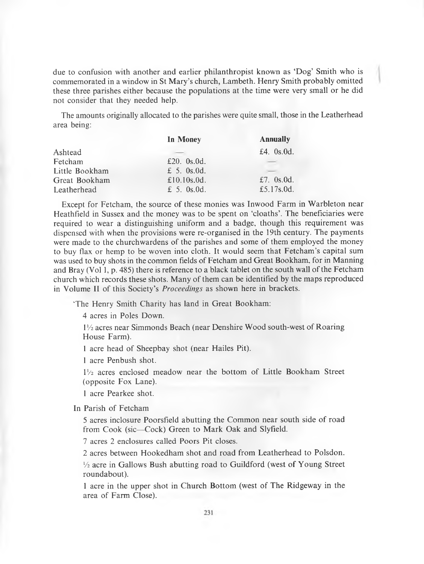due to confusion with another and earlier philanthropist known as 'Dog' Smith who is commemorated in a window in St Mary's church, Lambeth. Henry Smith probably omitted these three parishes either because the populations at the time were very small or he did not consider that they needed help.

The amounts originally allocated to the parishes were quite small, those in the Leatherhead area being:

|                | In Money        | <b>Annually</b> |
|----------------|-----------------|-----------------|
| Ashtead        |                 | £4.0s.0d.       |
| Fetcham        | £20. $0s.0d$ .  |                 |
| Little Bookham | £ 5. $0s.0d$ .  |                 |
| Great Bookham  | £10.10 $s$ .0d. | £7. $0s.0d$ .   |
| Leatherhead    | £ 5. $0s.0d$ .  | £5.17s.0d.      |

Except for Fetcham, the source of these monies was Inwood Farm in Warbleton near Heathfield in Sussex and the money was to be spent on 'cloaths'. The beneficiaries were required to wear a distinguishing uniform and a badge, though this requirement was dispensed with when the provisions were re-organised in the 19th century. The payments were made to the churchwardens of the parishes and some of them employed the money to buy flax or hemp to be woven into cloth. It would seem that Fetcham 's capital sum was used to buy shots in the common fields of Fetcham and Great Bookham, for in Manning and Bray (Vol 1, p. 485) there is reference to a black tablet on the south wall of the Fetcham church which records these shots. Many of them can be identified by the maps reproduced in Volume II of this Society's *Proceedings* as shown here in brackets.

'The Henry Smith Charity has land in Great Bookham:

4 acres in Poles Down.

1<sup>1</sup>/<sub>2</sub> acres near Simmonds Beach (near Denshire Wood south-west of Roaring House Farm).

1 acre head of Sheepbay shot (near Hailes Pit).

1 acre Penbush shot.

 $1\frac{1}{2}$  acres enclosed meadow near the bottom of Little Bookham Street (opposite Fox Lane).

1 acre Pearkee shot.

In Parish of Fetcham

5 acres inclosure Poorsfield abutting the Common near south side of road from Cook (sic—Cock) Green to Mark Oak and Slyfield.

7 acres 2 enclosures called Poors Pit closes.

2 acres between Hookedham shot and road from Leatherhead to Polsdon.

<sup>1</sup>/<sub>2</sub> acre in Gallows Bush abutting road to Guildford (west of Young Street roundabout).

1 acre in the upper shot in Church Bottom (west of The Ridgeway in the area of Farm Close).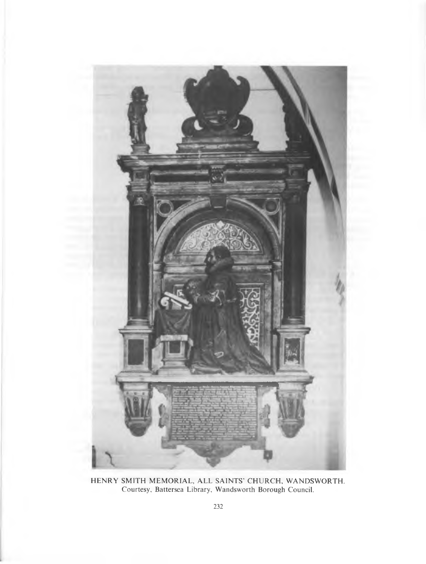![](_page_15_Picture_0.jpeg)

HENRY SMITH MEMORIAL, ALL SAINTS' CHURCH, WANDSWORTH Courtesy, Battersea Library, Wandsworth Borough Council.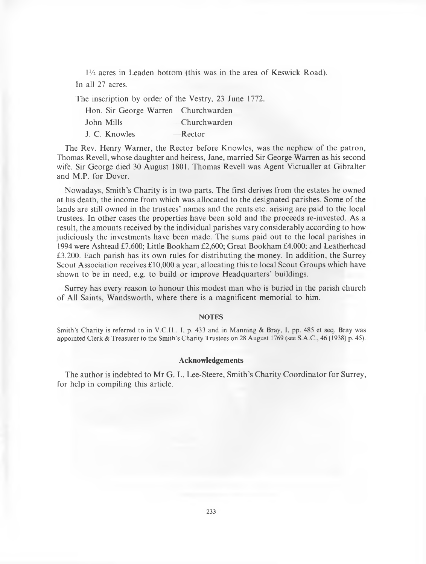$1\frac{1}{2}$  acres in Leaden bottom (this was in the area of Keswick Road). In all 27 acres.

The inscription by order of the Vestry, 23 June 1772.

|               | Hon. Sir George Warren—Churchwarden |
|---------------|-------------------------------------|
| John Mills    | — Churchwarden                      |
| J. C. Knowles | $-$ Rector                          |

The Rev. Henry Warner, the Rector before Knowles, was the nephew of the patron, Thomas Revell, whose daughter and heiress, Jane, married Sir George Warren as his second wife. Sir George died 30 August 1801. Thomas Revell was Agent Victualler at Gibralter and M.P. for Dover.

Nowadays, Smith's Charity is in two parts. The first derives from the estates he owned at his death, the income from which was allocated to the designated parishes. Some of the lands are still owned in the trustees' names and the rents etc. arising are paid to the local trustees. In other cases the properties have been sold and the proceeds re-invested. As a result, the amounts received by the individual parishes vary considerably according to how judiciously the investments have been made. The sums paid out to the local parishes in 1994 were Ashtead £7,600; Little Bookham £2,600; Great Bookham £4,000; and Leatherhead £3,200. Each parish has its own rules for distributing the money. In addition, the Surrey Scout Association receives  $\pounds 10,000$  a year, allocating this to local Scout Groups which have shown to be in need, e.g. to build or improve Headquarters' buildings.

Surrey has every reason to honour this modest man who is buried in the parish church of All Saints, Wandsworth, where there is a magnificent memorial to him.

#### **NOTES**

Smith's Charity is referred to in V.C.H., I, p. 433 and in Manning & Bray, I, pp. 485 et seq. Bray was appointed Clerk & Treasurer to the Smith's Charity Trustees on 28 August 1769 (see S.A.C., 46 (1938) p. 45).

# **Acknowledgements**

The author is indebted to Mr G. L. Lee-Steere, Smith's Charity Coordinator for Surrey, for help in compiling this article.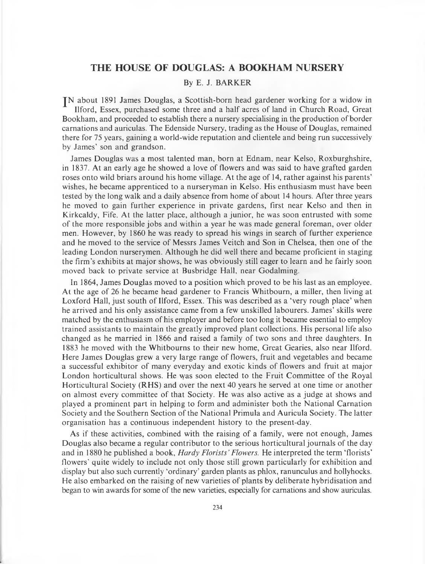# **THE HOUSE OF DOUGLAS: A BOOKHAM NURSERY**

# By E. J. BARKER

IN about 1891 James Douglas, a Scottish-born head gardener working for a widow in Ilford, Essex, purchased some three and a half acres of land in Church Road, Great Bookham, and proceeded to establish there a nursery specialising in the production of border carnations and auriculas. The Edenside Nursery, trading as the House of Douglas, remained there for 75 years, gaining a world-wide reputation and clientele and being run successively by James' son and grandson.

James Douglas was a most talented man, born at Ednam, near Kelso, Roxburghshire, in 1837. At an early age he showed a love of flowers and was said to have grafted garden roses onto wild briars around his home village. At the age of 14, rather against his parents' wishes, he became apprenticed to a nurseryman in Kelso. His enthusiasm must have been tested by the long walk and a daily absence from home of about 14 hours. After three years he moved to gain further experience in private gardens, first near Kelso and then in Kirkcaldy, Fife. At the latter place, although a junior, he was soon entrusted with some of the more responsible jobs and within a year he was made general foreman, over older men. However, by 1860 he was ready to spread his wings in search of further experience and he moved to the service of Messrs James Veitch and Son in Chelsea, then one of the leading London nurserymen. Although he did well there and became proficient in staging the firm's exhibits at major shows, he was obviously still eager to learn and he fairly soon moved back to private service at Busbridge Hall, near Godalming.

In 1864, James Douglas moved to a position which proved to be his last as an employee. At the age of 26 he became head gardener to Francis W hitbourn, a miller, then living at Loxford Hall, just south of Ilford, Essex. This was described as a 'very rough place' when he arrived and his only assistance came from a few unskilled labourers. James' skills were matched by the enthusiasm of his employer and before too long it became essential to employ trained assistants to maintain the greatly improved plant collections. His personal life also changed as he married in 1866 and raised a family of two sons and three daughters. In 1883 he moved with the Whitbourns to their new home, Great Gearies, also near Ilford. Here James Douglas grew a very large range of flowers, fruit and vegetables and became a successful exhibitor of many everyday and exotic kinds of flowers and fruit at major London horticultural shows. He was soon elected to the Fruit Committee of the Royal Horticultural Society (RHS) and over the next 40 years he served at one time or another on almost every committee of that Society. He was also active as a judge at shows and played a prominent part in helping to form and administer both the National Carnation Society and the Southern Section of the National Primula and Auricula Society. The latter organisation has a continuous independent history to the present-day.

As if these activities, com bined with the raising of a family, were not enough, James Douglas also became a regular contributor to the serious horticultural journals of the day and in 1880 he published a book, *Hardy Florists' Flowers.* He interpreted the term 'florists' flowers' quite widely to include not only those still grown particularly for exhibition and display but also such currently 'ordinary' garden plants as phlox, ranunculus and hollyhocks. He also embarked on the raising of new varieties of plants by deliberate hybridisation and began to win awards for some of the new varieties, especially for carnations and show auriculas.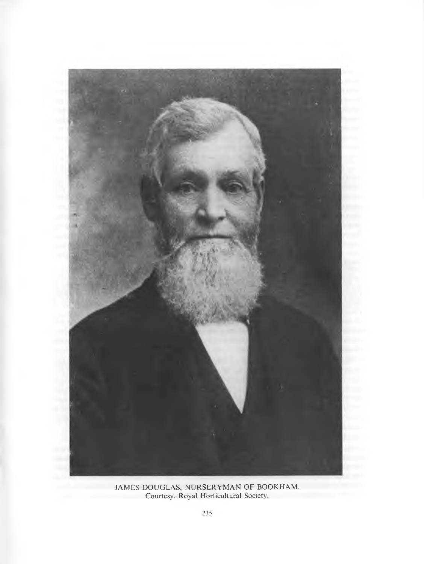![](_page_18_Picture_0.jpeg)

JAMES DOUGLAS, NURSERYMAN OF BOOKHAM Courtesy, Royal Horticultural Society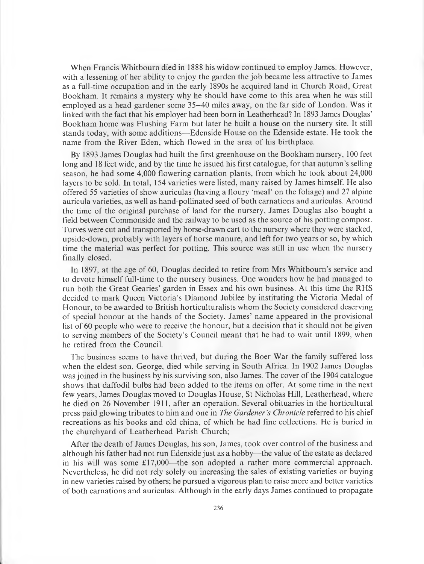When Francis Whitbourn died in 1888 his widow continued to employ James. However, with a lessening of her ability to enjoy the garden the job became less attractive to James as a full-time occupation and in the early 1890s he acquired land in Church R oad, Great Bookham. It remains a mystery why he should have come to this area when he was still employed as a head gardener some 35–40 miles away, on the far side of London. Was it linked with the fact that his employer had been born in Leatherhead? In 1893 James Douglas' Bookham home was Flushing Farm but later he built a house on the nursery site. It still stands today, with some additions— Edenside House on the Edenside estate. He took the name from the River Eden, which flowed in the area of his birthplace.

By 1893 James Douglas had built the first greenhouse on the Bookham nursery, 100 feet long and 18 feet wide, and by the time he issued his first catalogue, for that autumn's selling season, he had some 4,000 flowering carnation plants, from which he took about 24,000 layers to be sold. In total, 154 varieties were listed, many raised by James himself. He also offered 55 varieties of show auriculas (having a floury 'meal' on the foliage) and 27 alpine auricula varieties, as well as hand-pollinated seed of both carnations and auriculas. Around the time of the original purchase of land for the nursery, James Douglas also bought a field between Commonside and the railway to be used as the source of his potting compost. Turves were cut and transported by horse-drawn cart to the nursery where they were stacked, upside-down, probably with layers of horse manure, and left for two years or so, by which time the material was perfect for potting. This source was still in use when the nursery finally closed.

In 1897, at the age of 60, Douglas decided to retire from Mrs Whitbourn's service and to devote himself full-time to the nursery business. One wonders how he had managed to run both the Great Gearies' garden in Essex and his own business. At this time the RHS decided to mark Queen Victoria's Diamond Jubilee by instituting the Victoria Medal of Honour, to be awarded to British horticulturalists whom the Society considered deserving of special honour at the hands of the Society. James' name appeared in the provisional list of 60 people who were to receive the honour, but a decision that it should not be given to serving members of the Society's Council meant that he had to wait until 1899, when he retired from the Council.

The business seems to have thrived, but during the Boer War the family suffered loss when the eldest son, George, died while serving in South Africa. In 1902 James Douglas was joined in the business by his surviving son, also James. The cover of the 1904 catalogue shows that daffodil bulbs had been added to the items on offer. At some time in the next few years, James Douglas moved to Douglas House, St Nicholas Hill, Leatherhead, where he died on 26 November 1911, after an operation. Several obituaries in the horticultural press paid glowing tributes to him and one in *The Gardener's Chronicle* referred to his chief recreations as his books and old china, of which he had fine collections. He is buried in the churchyard of Leatherhead Parish Church;

A fter the death of James Douglas, his son, James, took over control of the business and although his father had not run Edenside just as a hobby— the value of the estate as declared in his will was some  $£17,000$ —the son adopted a rather more commercial approach. Nevertheless, he did not rely solely on increasing the sales of existing varieties or buying in new varieties raised by others; he pursued a vigorous plan to raise more and better varieties of both carnations and auriculas. A lthough in the early days James continued to propagate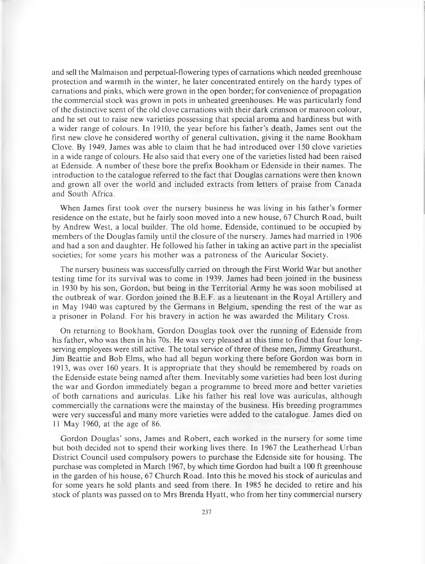and sell the Malmaison and perpetual-flowering types of carnations which needed greenhouse protection and warm th in the winter, he later concentrated entirely on the hardy types of carnations and pinks, which were grown in the open border; for convenience of propagation the commercial stock was grown in pots in unheated greenhouses. He was particularly fond of the distinctive scent of the old clove carnations with their dark crimson or maroon colour, and he set out to raise new varieties possessing that special aroma and hardiness but with a wider range of colours. In 1910, the year before his father's death, James sent out the first new clove he considered worthy of general cultivation, giving it the name Bookham Clove. By 1949, James was able to claim that he had introduced over 150 clove varieties in a wide range of colours. He also said that every one of the varieties listed had been raised at Edenside. A number of these bore the prefix Bookham or Edenside in their names. The introduction to the catalogue referred to the fact that Douglas carnations were then known and grown all over the world and included extracts from letters of praise from Canada and South Africa.

When James first took over the nursery business he was living in his father's former residence on the estate, but he fairly soon moved into a new house, 67 Church R oad, built by Andrew West, a local builder. The old home, Edenside, continued to be occupied by members of the Douglas family until the closure of the nursery. James had married in 1906 and had a son and daughter. He followed his father in taking an active part in the specialist societies; for some years his mother was a patroness of the Auricular Society.

The nursery business was successfully carried on through the First World War but another testing time for its survival was to come in 1939. James had been joined in the business in 1930 by his son, Gordon, but being in the Territorial Army he was soon mobilised at the outbreak of war. Gordon joined the B.E.F. as a lieutenant in the Royal Artillery and in May 1940 was captured by the Germans in Belgium, spending the rest of the war as a prisoner in Poland. For his bravery in action he was awarded the Military Cross.

On returning to Bookham, Gordon Douglas took over the running of Edenside from his father, who was then in his 70s. He was very pleased at this time to find that four longserving employees were still active. The total service of three of these men, Jimmy Greathurst, Jim Beattie and Bob Elms, who had all begun working there before Gordon was born in 1913, was over 160 years. It is appropriate that they should be remembered by roads on the Edenside estate being named after them. Inevitably some varieties had been lost during the war and Gordon immediately began a programme to breed more and better varieties of both carnations and auriculas. Like his father his real love was auriculas, although commercially the carnations were the mainstay of the business. His breeding programmes were very successful and many more varieties were added to the catalogue. James died on 11 May 1960, at the age of 86.

Gordon Douglas' sons, James and Robert, each worked in the nursery for some time but both decided not to spend their working lives there. In 1967 the Leatherhead Urban District Council used compulsory powers to purchase the Edenside site for housing. The purchase was completed in March 1967, by which time Gordon had built a 100 ft greenhouse in the garden of his house, 67 Church Road. Into this he moved his stock of auriculas and for some years he sold plants and seed from there. In 1985 he decided to retire and his stock of plants was passed on to Mrs Brenda Hyatt, who from her tiny commercial nursery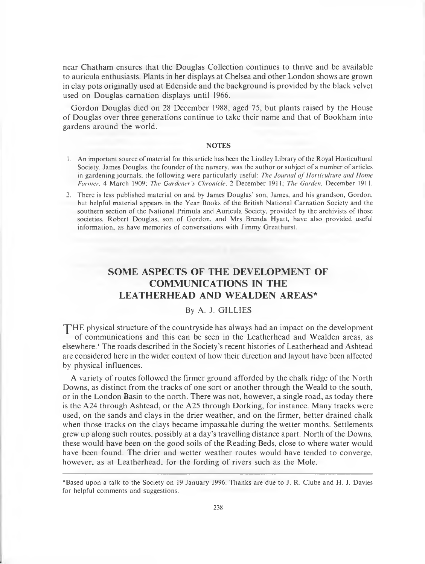near Chatham ensures that the Douglas Collection continues to thrive and be available to auricula enthusiasts. Plants in her displays at Chelsea and other London shows are grown in clay pots originally used at Edenside and the background is provided by the black velvet used on Douglas carnation displays until 1966.

Gordon Douglas died on 28 December 1988, aged 75, but plants raised by the House o f Douglas over three generations continue to take their name and that of Bookham into gardens around the world.

#### **NOTES**

- 1. An important source of material for this article has been the Lindley Library of the Royal Horticultural Society. James Douglas, the founder of the nursery, was the author or subject of a number of articles in gardening journals; the following were particularly useful: *The Journal of Horticulture and Home Farmer*, 4 March 1909; *The Gardener's Chronicle*, 2 December 1911; *The Garden*, December 1911.
- 2. There is less published material on and by James Douglas' son, James, and his grandson, Gordon, but helpful material appears in the Year Books of the British National Carnation Society and the southern section of the National Primula and Auricula Society, provided by the archivists of those societies. Robert Douglas, son of Gordon, and Mrs Brenda Hyatt, have also provided useful information, as have memories of conversations with Jimmy Greathurst.

# **SOME ASPECTS OF THE DEVELOPMENT OF COMMUNICATIONS IN THE LEATHERHEAD AND WEALDEN AREAS\***

# By A. J. GILLIES

THE physical structure of the countryside has always had an impact on the development of communications and this can be seen in the Leatherhead and Wealden areas, as elsewhere.1 The roads described in the Society's recent histories of Leatherhead and Ashtead are considered here in the wider context of how their direction and layout have been affected by physical influences.

A variety of routes followed the firmer ground afforded by the chalk ridge of the North Downs, as distinct from the tracks of one sort or another through the Weald to the south, or in the London Basin to the north. There was not, however, a single road, as today there is the A24 through A shtead, or the A25 through Dorking, for instance. Many tracks were used, on the sands and clays in the drier weather, and on the firmer, better drained chalk when those tracks on the clays became impassable during the wetter months. Settlements grew up along such routes, possibly at a day's travelling distance apart. N orth of the Downs, these would have been on the good soils of the Reading Beds, close to where water would have been found. The drier and wetter weather routes would have tended to converge, however, as at Leatherhead, for the fording of rivers such as the Mole.

<sup>\*</sup>Based upon a talk to the Society on 19 January 1996. Thanks are due to J. R. Clube and H. J. Davies for helpful comments and suggestions.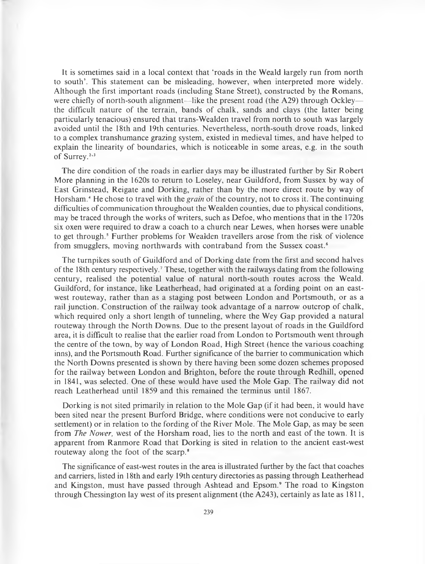It is sometimes said in a local context that 'roads in the Weald largely run from north to south'. This statement can be misleading, however, when interpreted more widely. Although the first important roads (including Stane Street), constructed by the Romans, were chiefly of north-south alignment—like the present road (the A29) through Ockley the difficult nature of the terrain, bands of chalk, sands and clays (the latter being particularly tenacious) ensured that trans-W ealden travel from north to south was largely avoided until the 18th and 19th centuries. Nevertheless, north-south drove roads, linked to a complex transhum ance grazing system, existed in medieval times, and have helped to explain the linearity of boundaries, which is noticeable in some areas, e.g. in the south of Surrey.<sup>2,3</sup>

The dire condition of the roads in earlier days may be illustrated further by Sir R obert More planning in the 1620s to return to Loseley, near Guildford, from Sussex by way of East Grinstead, Reigate and Dorking, rather than by the more direct route by way of Horsham.<sup>4</sup> He chose to travel with the *grain* of the country, not to cross it. The continuing difficulties of communication throughout the Wealden counties, due to physical conditions, may be traced through the works of writers, such as Defoe, who mentions that in the 1720s six oxen were required to draw a coach to a church near Lewes, when horses were unable to get through.<sup>5</sup> Further problems for Wealden travellers arose from the risk of violence from smugglers, moving northwards with contraband from the Sussex coast.<sup>6</sup>

The turnpikes south of Guildford and of Dorking date from the first and second halves of the 18th century respectively.7 These, together with the railways dating from the following century, realised the potential value of natural north-south routes across the Weald. Guildford, for instance, like Leatherhead, had originated at a fording point on an eastwest routeway, rather than as a staging post between London and Portsmouth, or as a rail junction. Construction of the railway took advantage of a narrow outcrop of chalk, which required only a short length of tunneling, where the Wey Gap provided a natural routeway through the North Downs. Due to the present layout of roads in the Guildford area, it is difficult to realise that the earlier road from London to Portsmouth went through the centre of the town, by way of London Road, High Street (hence the various coaching inns), and the Portsmouth Road. Further significance of the barrier to communication which the North Downs presented is shown by there having been some dozen schemes proposed for the railway between London and Brighton, before the route through Redhill, opened in 1841, was selected. One of these would have used the Mole Gap. The railway did not reach Leatherhead until 1859 and this remained the terminus until 1867.

Dorking is not sited primarily in relation to the Mole Gap (if it had been, it would have been sited near the present Burford Bridge, where conditions were not conducive to early settlement) or in relation to the fording of the River Mole. The Mole Gap, as may be seen from *The Nower*, west of the Horsham road, lies to the north and east of the town. It is apparent from Ranmore Road that Dorking is sited in relation to the ancient east-west routeway along the foot of the scarp.8

The significance of east-west routes in the area is illustrated further by the fact that coaches and carriers, listed in 18th and early 19th century directories as passing through Leatherhead and Kingston, must have passed through Ashtead and Epsom.<sup>9</sup> The road to Kingston through Chessington lay west of its present alignment (the  $A243$ ), certainly as late as 1811,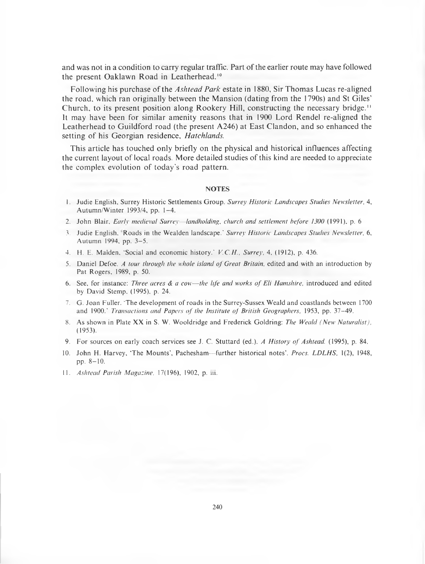and was not in a condition to carry regular traffic. Part of the earlier route may have followed the present Oaklawn Road in Leatherhead.<sup>10</sup>

Following his purchase of the *Ashtead Park* estate in 1880, Sir Thomas Lucas re-aligned the road, which ran originally between the Mansion (dating from the 1790s) and St Giles' Church, to its present position along Rookery Hill, constructing the necessary bridge.<sup>11</sup> It may have been for similar amenity reasons that in 1900 Lord Rendel re-aligned the Leatherhead to Guildford road (the present A246) at East Clandon, and so enhanced the setting of his Georgian residence, *Hatchlands*.

This article has touched only briefly on the physical and historical influences affecting the current layout of local roads. M ore detailed studies of this kind are needed to appreciate the complex evolution of today's road pattern.

## **NOTES**

- 1. Judie English, Surrey Historic Settlements Group. Surrey Historic Landscapes Studies Newsletter, 4, **A utum n/W inter 1993/4, pp. 1 -4 .**
- 2. John Blair, *Early medieval Surrey—landholding, church and settlement before 1300* (1991), p. 6
- **3. Judie English. R oads in the W ealden landscape.'** *S urrey H istoric L andscapes Studies N ew sletter,* **6,** Autumn 1994, pp. 3-5.
- **4. H. E. M alden, 'Social and econ om ic history.'** *V.C .H ., Surrey,* **4, (1912), p. 436.**
- 5. Daniel Defoe. *A tour through the whole island of Great Britain*, edited and with an introduction by **Pat R ogers, 1989, p. 50.**
- **6.** See, for instance: *Three acres & a cow—the life and works of Eli Hamshire*, introduced and edited by David Stemp, (1995), p. 24.
- 7. G. Joan Fuller. 'The development of roads in the Surrey-Sussex Weald and coastlands between 1700 and 1900.' *Transactions and Papers of the Institute of British Geographers*, 1953, pp. 37-49.
- 8. As shown in Plate XX in S. W. Wooldridge and Frederick Goldring: The Weald (New Naturalist), **(1953).**
- 9. For sources on early coach services see J. C. Stuttard (ed.). *A History of Ashtead.* (1995), p. 84.
- 10. John H. Harvey, 'The Mounts', Pachesham—further historical notes'. *Procs. LDLHS*, 1(2), 1948, pp. 8-10.
- **11.** *A sh tead Parish M agazine,* **17(196), 1902, p. iii.**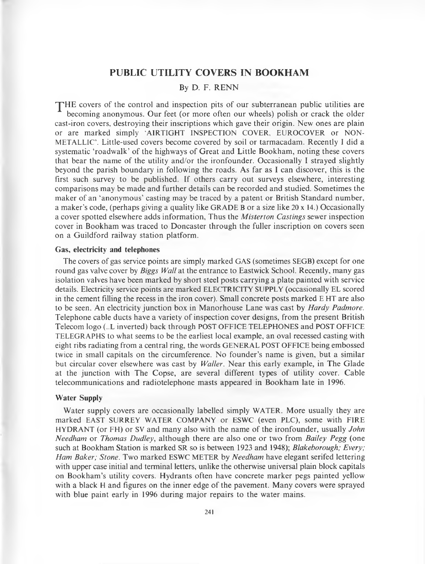# **PUBLIC UTILITY COVERS IN BOOKHAM**

## By D. F. RENN

 $\mathbf T$  HE covers of the control and inspection pits of our subterranean public utilities are becoming anonymous. Our feet (or more often our wheels) polish or crack the older cast-iron covers, destroying their inscriptions which gave their origin. New ones are plain or are marked simply 'AIRTIGHT INSPECTION COVER, EUROCOVER or NON-**M E T A L L IC '.** Little-used covers become covered by soil or tarm acadam . Recently **I** did a systematic 'roadwalk' of the highways of Great and Little Bookham, noting these covers that bear the name of the utility and/or the ironfounder. Occasionally I strayed slightly beyond the parish boundary in following the roads. As far as I can discover, this is the first such survey to be published. If others carry out surveys elsewhere, interesting com parisons may be made and further details can be recorded and studied. Sometimes the maker of an 'anonymous' casting may be traced by a patent or British Standard number, a maker's code, (perhaps giving a quality like GRADE B or a size like 20 x 14.) Occasionally a cover spotted elsewhere adds inform ation, Thus the *M isterton Castings* sewer inspection cover in Bookham was traced to Doncaster through the fuller inscription on covers seen on a Guildford railway station platform.

## **Gas, electricity and telephones**

The covers of gas service points are simply marked GAS (sometimes SEGB) except for one round gas valve cover by *Biggs Wall* at the entrance to Eastwick School. Recently, many gas isolation valves have been marked by short steel posts carrying a plate painted with service details. Electricity service points are marked **ELECTRICITY SUPPLY** (occasionally EL scored in the cement filling the recess in the iron cover). Small concrete posts marked E HT are also to be seen. An electricity junction box in M anorhouse Lane was cast by *Hardy Padmore.* Telephone cable ducts have a variety of inspection cover designs, from the present British Telecom logo (..L inverted) back through POST OFFICE TELEPHONES and POST OFFICE **T E L E G R A P H S** to what seems to be the earliest local example, an oval recessed casting with eight ribs radiating from a central ring, the words **GENERAL POST OFFICE** being embossed twice in small capitals on the circumference. No founder's name is given, but a similar but circular cover elsewhere was cast by *Waller*. Near this early example, in The Glade at the junction with The Copse, are several different types of utility cover. Cable telecommunications and radiotelephone m asts appeared in Bookham late in 1996.

#### **Water Supply**

Water supply covers are occasionally labelled simply WATER. More usually they are marked EAST SURREY WATER COMPANY or ESWC (even PLC), some with FIRE HYDRANT (or FH) or SV and many also with the name of the ironfounder, usually *John Needham* or *Thomas Dudley,* although there are also one or two from *Bailey Pegg* (one such at Bookham Station is marked SR so is between 1923 and 1948); *Blakeborough; Every; Ham Baker; Stone.* Two marked ESWC METER by *Needham* have elegant serifed lettering with upper case initial and terminal letters, unlike the otherwise universal plain block capitals on Bookham's utility covers. Hydrants often have concrete marker pegs painted yellow with a black H and figures on the inner edge of the pavement. Many covers were sprayed with blue paint early in 1996 during major repairs to the water mains.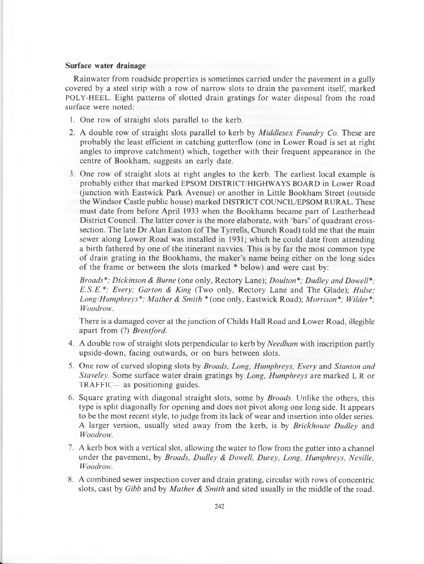### **Surface water drainage**

Rainw ater from roadside properties is sometimes carried under the pavement in a gully covered by a steel strip with a row of narrow slots to drain the pavement itself, marked POLY-HEEL. Eight patterns of slotted drain gratings for water disposal from the road surface were noted:

- 1. One row of straight slots parallel to the kerb.
- 2. A double row of straight slots parallel to kerb by *Middlesex Foundry Co.* These are probably the least efficient in catching gutterflow (one in Lower R oad is set at right angles to improve catchment) which, together with their frequent appearance in the centre of Bookham, suggests an early date.
- 3. One row of straight slots at right angles to the kerb. The earliest local example is probably either that marked EPSOM DISTRICT/HIGHWAYS BOARD in Lower Road (junction with Eastwick Park Avenue) or another in Little Bookham Street (outside the Windsor Castle public house) marked **DISTRICT COUNCIL/EPSOM RURAL**. These must date from before April 1933 when the Bookhams became part of Leatherhead District Council. The latter cover is the more elaborate, with 'bars' of quadrant crosssection. The late Dr Alan Easton (of The Tyrrells, Church Road) told me that the main sewer along Lower Road was installed in 1931; which he could date from attending a birth fathered by one of the itinerant navvies. This is by far the most common type of drain grating in the Bookhams, the maker's name being either on the long sides of the frame or between the slots (marked \* below) and were cast by:

*Broads\*; Dickinson & Burne* (one only, R ectory Lane); *Doulton\*; Dudley and Dowell\*; E.S.E.\*; Every; Garton & King* (Two only, Rectory Lane and The Glade); *Hulse; Long/Humphreys\*; M ather & Smith \** (one only, Eastwick Road); *Morrison\*; Wilder\*; Woodrow.*

There is a damaged cover at the junction of Childs Hall R oad and Lower Road, illegible apart from (?) *Brentford.*

- 4. A double row of straight slots perpendicular to kerb by *Needham* with inscription partly upside-down, facing outwards, or on bars between slots.
- 5. One row of curved sloping slots by *Broads, Long, Humphreys, Every* and *Stanton and Staveley.* Some surface water drain gratings by *Long, Humphreys* are marked L R or TRAFFIC— as positioning guides.
- 6. Square grating with diagonal straight slots, some by *Broads.* Unlike the others, this type is split diagonally for opening and does not pivot along one long side. It appears to be the most recent style, to judge from its lack of wear and insertion into older series. A larger version, usually sited away from the kerb, is by *Brickhouse Dudley* and *Woodrow.*
- 7. A kerb box with a vertical slot, allowing the water to flow from the gutter into a channel under the pavement, by *Broads, Dudley & Dowell, Durey, Long, Humphreys, Neville, Woodrow.*
- 8. A combined sewer inspection cover and drain grating, circular with rows of concentric slots, cast by *Gibb* and by *Mather & Smith* and sited usually in the middle of the road.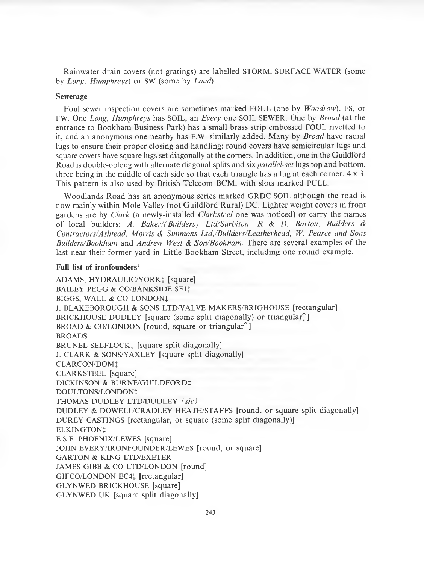R ainw ater drain covers (not gratings) are labelled STORM, SURFACE WATER (some by *Long, Humphreys)* or SW (some by *Laud).*

## **Sewerage**

Foul sewer inspection covers are sometimes marked FOUL (one by *Woodrow*), FS, or FW. One *Long, Humphreys* has SOIL, an *Every* one SOIL SEWER. One by *Broad* (at the entrance to Bookham Business Park) has a small brass strip embossed FOUL rivetted to it, and an anonymous one nearby has F.W. similarly added. Many by *Broad* have radial lugs to ensure their proper closing and handling: round covers have semicircular lugs and square covers have square lugs set diagonally at the corners. In addition, one in the Guildford Road is double-oblong with alternate diagonal splits and six *parallel-set* lugs top and bottom , three being in the middle of each side so that each triangle has a lug at each corner,  $4 \times 3$ . This pattern is also used by British Telecom BCM, with slots marked PULL.

Woodlands Road has an anonymous series marked GRDC SOIL although the road is now mainly within Mole Valley (not Guildford Rural) DC. Lighter weight covers in front gardens are by *Clark* (a newly-installed *Clarksteel* one was noticed) or carry the names of local builders: *A. Baker/(Builders) Ltd/Surbiton, R & D. Barton, Builders & Contractors/Ashtead, Morris & Simmons LtdJBuilders/Leatherhead, W. Pearce and Sons Builders/Bookham* and *Andrew West & Son/Bookham*. There are several examples of the last near their former yard in Little Bookham Street, including one round example.

#### **Full list of ironfounders'**

ADAMS, HYDRAULIC/YORK‡ [square] BAILEY PEGG & CO/BANKSIDE SE11 BIGGS, WALL & CO LONDON<sup>1</sup> J. BLAKEBOROUGH & SONS LTD/VALVE MAKERS/BRIGHOUSE [rectangular] BRICKHOUSE DUDLEY [square (some split diagonally) or triangular<sup>1</sup>] BROAD & CO/LONDON [round, square or triangular $\hat{\ }$ ] BROADS BRUNEL SELFLOCK<sup>†</sup> [square split diagonally] J. CLARK & SONS/YAXLEY [square split diagonally] CLARCON/DOMt CLARKSTEEL [square] DICKINSON & BURNE/GUILDFORDt DOULTONS/LONDON<sup>‡</sup> THOMAS DUDLEY LTD/DUDLEY *(sic)* DUDLEY & DOWELL/CRADLEY HEATH/STAFFS [round, or square split diagonally] DUREY CASTINGS [rectangular, or square (some split diagonally)] ELKINGTONt E.S.E. PHOENIX/LEWES [square] JOHN EVERY/IRONFOUNDER/LEWES [round, or square] GARTON & KING LTD/EXETER JAMES GIBB & CO LTD/LONDON [round] GIFCO/LONDON EC4t [rectangular] GLYNWED BRICKHOUSE [square] GLYNWED UK [square split diagonally]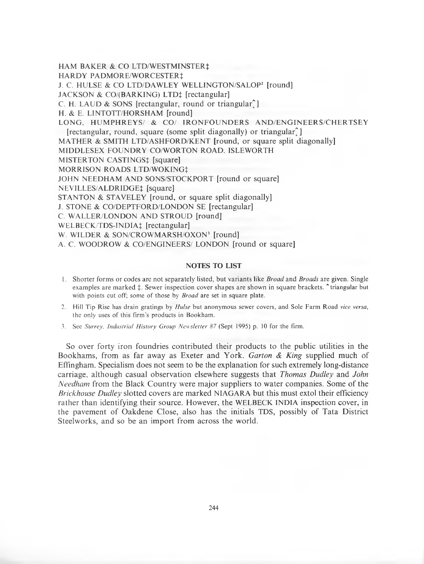HAM BAKER & CO LTD/WESTMINSTER‡

HARDY PADMORE/WORCESTER‡

J. C. HULSE & CO LTD/DAWLEY WELLINGTON/SALOP2 [round]

JACKSON & CO/(BARKING) LTD‡ [rectangular]

- C. H. LAUD & SONS [rectangular, round or triangular $\hat{ }$ ]
- H. & E. LINTOTT/HORSHAM [round]

LONG, HUMPHREYS/ & CO/ IRONFOUNDERS AND/ENGINEERS/CHERTSEY

[rectangular, round, square (some split diagonally) or triangular<sup>2</sup>]

MATHER & SMITH LTD/ASHFORD/KENT [round, or square split diagonally]

MIDDLESEX FOUNDRY CO/WORTON ROAD. ISLEWORTH

MISTERTON CASTINGS: [square]

MORRISON ROADS LTD/WOKING<sup>+</sup>

JOHN NEEDHAM AND SONS/STOCKPORT [round or square]

NEVILLES/ALDRIDGE: [square]

STANTON & STAVELEY [round, or square split diagonally]

J. STONE & CO/DEPTFORD/LONDON SE [rectangular]

C. WALLER/LONDON AND STROUD [round]

WELBECK/TDS-INDIA‡ [rectangular]

W. WILDER & SON/CROWMARSH/OXON<sup>3</sup> [round]

A. C. WOODROW & CO/ENGINEERS/ LONDON [round or square]

## **NOTES TO LIST**

- 1. Shorter forms or codes are not separately listed, but variants like *Broad* and *Broads* are given. Single examples are marked  $\ddagger$ . Sewer inspection cover shapes are shown in square brackets.  $\ddagger$  triangular but with points cut off; some of those by *Broad* are set in square plate.
- **2. Hill Tip Rise has drain gratings by** *Hulse* **but anonymous sewer covers, and Sole Farm Road** *vice versa,* the only uses of this firm's products in Bookham.
- 3. See *Surrey, Industrial History Group Newsletter 87* (Sept 1995) p. 10 for the firm.

So over forty iron foundries contributed their products to the public utilities in the Bookhams, from as far away as Exeter and York. *Garton & King* supplied much of Effingham. Specialism does not seem to be the explanation for such extremely long-distance carriage, although casual observation elsewhere suggests that *Thomas Dudley* and *John Needham* from the Black Country were major suppliers to water companies. Some of the *Brick house Dudley* slotted covers are marked NIAGARA but this must extol their efficiency rather than identifying their source. However, the WELBECK INDIA inspection cover, in the pavement of Oakdene Close, also has the initials TDS, possibly of Tata District Steelworks, and so be an import from across the world.